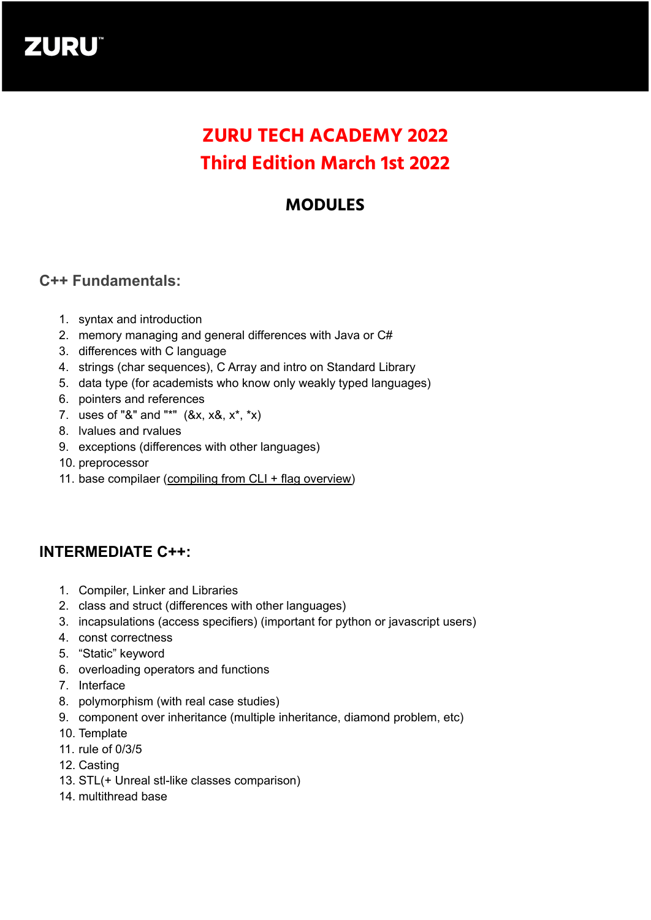

# **ZURU TECH ACADEMY 2022 Third Edition March 1st 2022**

# **MODULES**

## **C++ Fundamentals:**

- 1. syntax and introduction
- 2. memory managing and general differences with Java or C#
- 3. differences with C language
- 4. strings (char sequences), C Array and intro on Standard Library
- 5. data type (for academists who know only weakly typed languages)
- 6. pointers and references
- 7. uses of "&" and "\*"  $(8x, x8, x^*, x)$
- 8. lvalues and rvalues
- 9. exceptions (differences with other languages)
- 10. preprocessor
- 11. base compilaer (compiling from CLI + flag overview)

# **INTERMEDIATE C++:**

- 1. Compiler, Linker and Libraries
- 2. class and struct (differences with other languages)
- 3. incapsulations (access specifiers) (important for python or javascript users)
- 4. const correctness
- 5. "Static" keyword
- 6. overloading operators and functions
- 7. Interface
- 8. polymorphism (with real case studies)
- 9. component over inheritance (multiple inheritance, diamond problem, etc)
- 10. Template
- 11. rule of 0/3/5
- 12. Casting
- 13. STL(+ Unreal stl-like classes comparison)
- 14. multithread base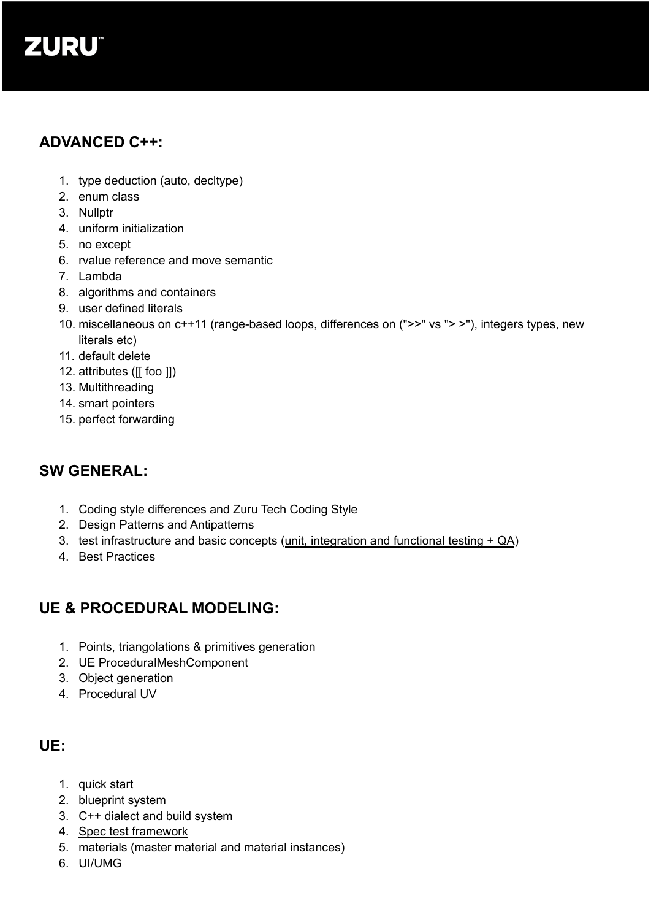# **ZURU**

## **ADVANCED C++:**

- 1. type deduction (auto, decltype)
- 2. enum class
- 3. Nullptr
- 4. uniform initialization
- 5. no except
- 6. rvalue reference and move semantic
- 7. Lambda
- 8. algorithms and containers
- 9. user defined literals
- 10. miscellaneous on c++11 (range-based loops, differences on (">>" vs "> >"), integers types, new literals etc)
- 11. default delete
- 12. attributes ([[ foo ]])
- 13. Multithreading
- 14. smart pointers
- 15. perfect forwarding

## **SW GENERAL:**

- 1. Coding style differences and Zuru Tech Coding Style
- 2. Design Patterns and Antipatterns
- 3. test infrastructure and basic concepts (unit, integration and functional testing + QA)
- 4. Best Practices

## **UE & PROCEDURAL MODELING:**

- 1. Points, triangolations & primitives generation
- 2. UE ProceduralMeshComponent
- 3. Object generation
- 4. Procedural UV

#### **UE:**

- 1. quick start
- 2. blueprint system
- 3. C++ dialect and build system
- 4. Spec test framework
- 5. materials (master material and material instances)
- 6. UI/UMG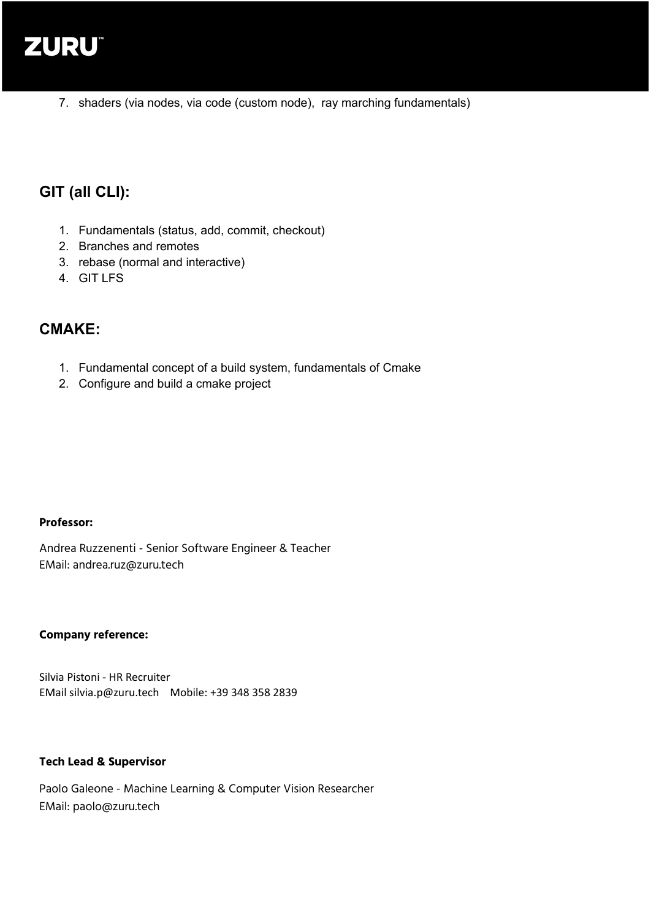

7. shaders (via nodes, via code (custom node), ray marching fundamentals)

# **GIT (all CLI):**

- 1. Fundamentals (status, add, commit, checkout)
- 2. Branches and remotes
- 3. rebase (normal and interactive)
- 4. GIT LFS

#### **CMAKE:**

- 1. Fundamental concept of a build system, fundamentals of Cmake
- 2. Configure and build a cmake project

#### **Professor:**

Andrea Ruzzenenti - Senior Software Engineer & Teacher EMail: andrea.ruz@zuru.tech

#### **Company reference:**

Silvia Pistoni - HR Recruiter EMail silvia.p@zuru.tech Mobile: +39 348 358 2839

#### **Tech Lead & Supervisor**

Paolo Galeone - Machine Learning & Computer Vision Researcher EMail: paolo@zuru.tech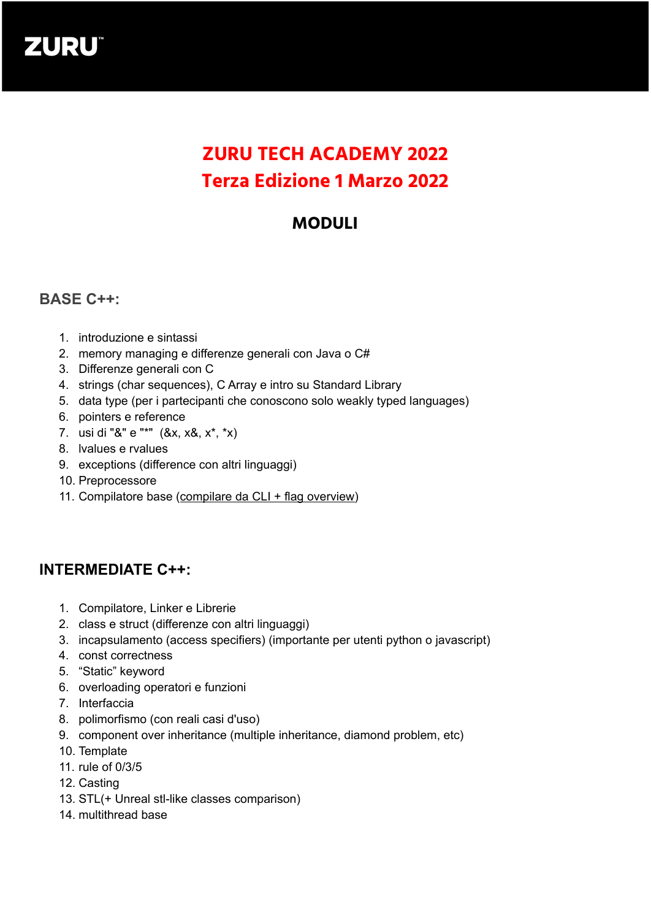

# **ZURU TECH ACADEMY 2022 Terza Edizione 1 Marzo 2022**

# **MODULI**

### **BASE C++:**

- 1. introduzione e sintassi
- 2. memory managing e differenze generali con Java o C#
- 3. Differenze generali con C
- 4. strings (char sequences), C Array e intro su Standard Library
- 5. data type (per i partecipanti che conoscono solo weakly typed languages)
- 6. pointers e reference
- 7. usi di "&" e "\*" (&x, x&, x\*, \*x)
- 8. lvalues e rvalues
- 9. exceptions (difference con altri linguaggi)
- 10. Preprocessore
- 11. Compilatore base (compilare da CLI + flag overview)

## **INTERMEDIATE C++:**

- 1. Compilatore, Linker e Librerie
- 2. class e struct (differenze con altri linguaggi)
- 3. incapsulamento (access specifiers) (importante per utenti python o javascript)
- 4. const correctness
- 5. "Static" keyword
- 6. overloading operatori e funzioni
- 7. Interfaccia
- 8. polimorfismo (con reali casi d'uso)
- 9. component over inheritance (multiple inheritance, diamond problem, etc)
- 10. Template
- 11. rule of 0/3/5
- 12. Casting
- 13. STL(+ Unreal stl-like classes comparison)
- 14. multithread base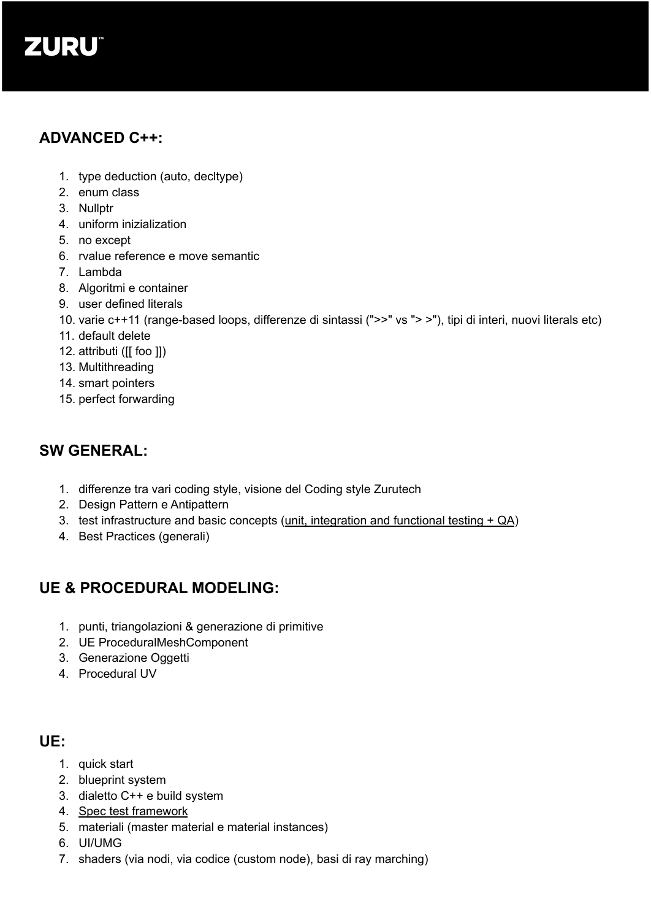# **ZURU**

## **ADVANCED C++:**

- 1. type deduction (auto, decltype)
- 2. enum class
- 3. Nullptr
- 4. uniform inizialization
- 5. no except
- 6. rvalue reference e move semantic
- 7. Lambda
- 8. Algoritmi e container
- 9. user defined literals
- 10. varie c++11 (range-based loops, differenze di sintassi (">>" vs "> >"), tipi di interi, nuovi literals etc)
- 11. default delete
- 12. attributi ([[ foo ]])
- 13. Multithreading
- 14. smart pointers
- 15. perfect forwarding

# **SW GENERAL:**

- 1. differenze tra vari coding style, visione del Coding style Zurutech
- 2. Design Pattern e Antipattern
- 3. test infrastructure and basic concepts (unit, integration and functional testing + QA)
- 4. Best Practices (generali)

# **UE & PROCEDURAL MODELING:**

- 1. punti, triangolazioni & generazione di primitive
- 2. UE ProceduralMeshComponent
- 3. Generazione Oggetti
- 4. Procedural UV

## **UE:**

- 1. quick start
- 2. blueprint system
- 3. dialetto C++ e build system
- 4. Spec test framework
- 5. materiali (master material e material instances)
- 6. UI/UMG
- 7. shaders (via nodi, via codice (custom node), basi di ray marching)